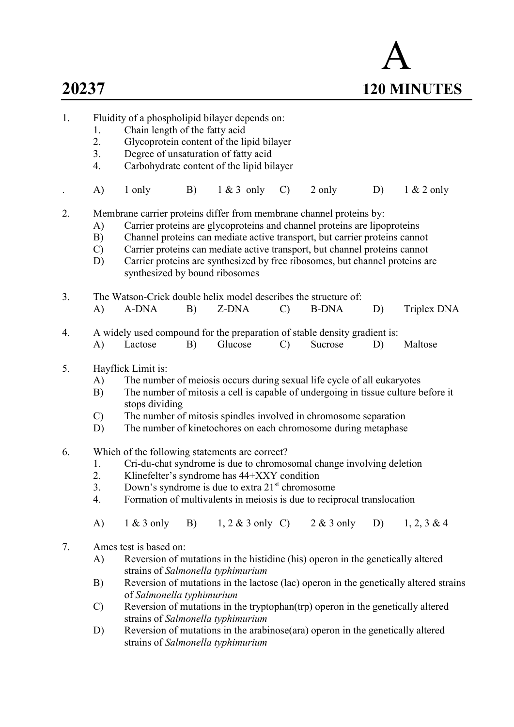# A 20237 120 MINUTES

- 1. Fluidity of a phospholipid bilayer depends on:
	- 1. Chain length of the fatty acid
	- 2. Glycoprotein content of the lipid bilayer
	- 3. Degree of unsaturation of fatty acid
	- 4. Carbohydrate content of the lipid bilayer
	- . A) 1 only B) 1 & 3 only C) 2 only D) 1 & 2 only
- 2. Membrane carrier proteins differ from membrane channel proteins by:
	- A) Carrier proteins are glycoproteins and channel proteins are lipoproteins
	- B) Channel proteins can mediate active transport, but carrier proteins cannot
	- C) Carrier proteins can mediate active transport, but channel proteins cannot
	- D) Carrier proteins are synthesized by free ribosomes, but channel proteins are synthesized by bound ribosomes
- 3. The Watson-Crick double helix model describes the structure of: A) A-DNA B) Z-DNA C) B-DNA D) Triplex DNA
	-
- 4. A widely used compound for the preparation of stable density gradient is: A) Lactose B) Glucose C) Sucrose D) Maltose
- 5. Hayflick Limit is:
	- A) The number of meiosis occurs during sexual life cycle of all eukaryotes
	- B) The number of mitosis a cell is capable of undergoing in tissue culture before it stops dividing
	- C) The number of mitosis spindles involved in chromosome separation
	- D) The number of kinetochores on each chromosome during metaphase
- 6. Which of the following statements are correct?
	- 1. Cri-du-chat syndrome is due to chromosomal change involving deletion
	- 2. Klinefelter's syndrome has 44+XXY condition
	- 3. Down's syndrome is due to extra  $21<sup>st</sup>$  chromosome
	- 4. Formation of multivalents in meiosis is due to reciprocal translocation
	- A) 1 & 3 only B) 1, 2 & 3 only C) 2 & 3 only D) 1, 2, 3 & 4
- 7. Ames test is based on:
	- A) Reversion of mutations in the histidine (his) operon in the genetically altered strains of Salmonella typhimurium
	- B) Reversion of mutations in the lactose (lac) operon in the genetically altered strains of Salmonella typhimurium
	- C) Reversion of mutations in the tryptophan(trp) operon in the genetically altered strains of Salmonella typhimurium
	- D) Reversion of mutations in the arabinose(ara) operon in the genetically altered strains of Salmonella typhimurium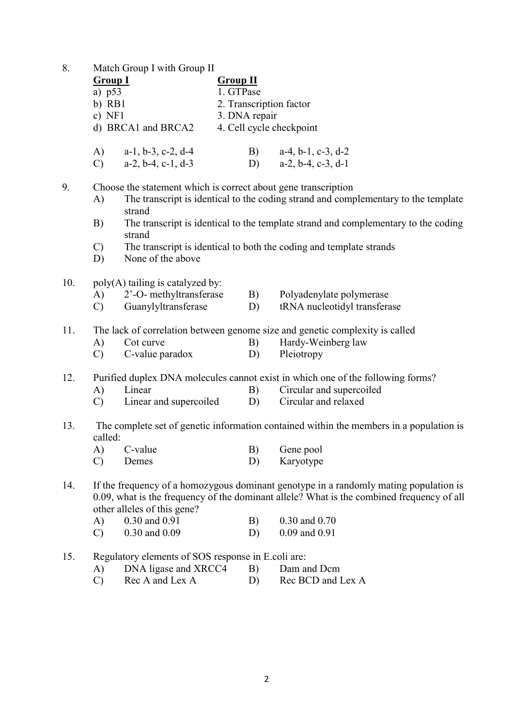| 8. |  | Match Group I with Group II |
|----|--|-----------------------------|
|    |  |                             |

| ο.  |                | <b>Match Oroup I with Oroup II</b>                             |                          |                                                                                                                                                                                    |
|-----|----------------|----------------------------------------------------------------|--------------------------|------------------------------------------------------------------------------------------------------------------------------------------------------------------------------------|
|     | <b>Group I</b> |                                                                | <b>Group II</b>          |                                                                                                                                                                                    |
|     | a) $p53$       |                                                                | 1. GTPase                |                                                                                                                                                                                    |
|     | $b)$ RB1       |                                                                | 2. Transcription factor  |                                                                                                                                                                                    |
|     | $c)$ NF1       |                                                                | 3. DNA repair            |                                                                                                                                                                                    |
|     |                | d) BRCA1 and BRCA2                                             | 4. Cell cycle checkpoint |                                                                                                                                                                                    |
|     | A)             | $a-1$ , $b-3$ , $c-2$ , $d-4$                                  | B)                       | $a-4$ , $b-1$ , $c-3$ , $d-2$                                                                                                                                                      |
|     | $\mathbf{C}$   | $a-2, b-4, c-1, d-3$                                           | D)                       | $a-2, b-4, c-3, d-1$                                                                                                                                                               |
| 9.  |                | Choose the statement which is correct about gene transcription |                          |                                                                                                                                                                                    |
|     | A)             | strand                                                         |                          | The transcript is identical to the coding strand and complementary to the template                                                                                                 |
|     | B)             |                                                                |                          | The transcript is identical to the template strand and complementary to the coding                                                                                                 |
|     |                | strand                                                         |                          |                                                                                                                                                                                    |
|     | $\mathcal{C}$  |                                                                |                          | The transcript is identical to both the coding and template strands                                                                                                                |
|     | D)             | None of the above                                              |                          |                                                                                                                                                                                    |
| 10. |                | poly(A) tailing is catalyzed by:                               |                          |                                                                                                                                                                                    |
|     | A)             | 2'-O- methyltransferase                                        | B)                       | Polyadenylate polymerase                                                                                                                                                           |
|     | $\mathcal{C}$  | Guanylyltransferase                                            | D)                       | tRNA nucleotidyl transferase                                                                                                                                                       |
| 11. |                |                                                                |                          | The lack of correlation between genome size and genetic complexity is called                                                                                                       |
|     | A)             | Cot curve                                                      | B)                       | Hardy-Weinberg law                                                                                                                                                                 |
|     | $\mathcal{C}$  | C-value paradox                                                | D)                       | Pleiotropy                                                                                                                                                                         |
| 12. |                |                                                                |                          | Purified duplex DNA molecules cannot exist in which one of the following forms?                                                                                                    |
|     | A)             | Linear                                                         | B)                       | Circular and supercoiled                                                                                                                                                           |
|     | $\mathbf{C}$   | Linear and supercoiled                                         | D)                       | Circular and relaxed                                                                                                                                                               |
| 13. | called:        |                                                                |                          | The complete set of genetic information contained within the members in a population is                                                                                            |
|     | A)             | C-value                                                        | B)                       | Gene pool                                                                                                                                                                          |
|     | $\mathcal{C}$  | Demes                                                          | D)                       | Karyotype                                                                                                                                                                          |
|     |                |                                                                |                          |                                                                                                                                                                                    |
| 14. |                |                                                                |                          | If the frequency of a homozygous dominant genotype in a randomly mating population is<br>0.09, what is the frequency of the dominant allele? What is the combined frequency of all |
|     |                | other alleles of this gene?                                    |                          |                                                                                                                                                                                    |
|     | A)             | 0.30 and 0.91                                                  | B)                       | 0.30 and 0.70                                                                                                                                                                      |
|     | $\mathcal{C}$  | 0.30 and 0.09                                                  | D)                       | 0.09 and 0.91                                                                                                                                                                      |
|     |                |                                                                |                          |                                                                                                                                                                                    |
| 15. |                | Regulatory elements of SOS response in E.coli are:             |                          |                                                                                                                                                                                    |
|     | A)             | DNA ligase and XRCC4                                           | B)                       | Dam and Dcm                                                                                                                                                                        |
|     | $\mathcal{C}$  | Rec A and Lex A                                                | D)                       | Rec BCD and Lex A                                                                                                                                                                  |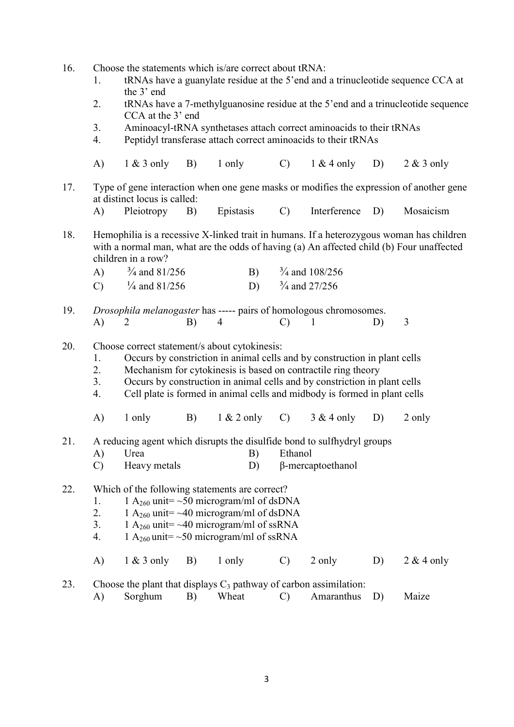- 16. Choose the statements which is/are correct about tRNA:
	- 1. tRNAs have a guanylate residue at the 5'end and a trinucleotide sequence CCA at the 3' end
	- 2. tRNAs have a 7-methylguanosine residue at the 5'end and a trinucleotide sequence CCA at the 3' end
	- 3. Aminoacyl-tRNA synthetases attach correct aminoacids to their tRNAs
	- 4. Peptidyl transferase attach correct aminoacids to their tRNAs
	- A) 1 & 3 only B) 1 only C) 1 & 4 only D) 2 & 3 only
- 17. Type of gene interaction when one gene masks or modifies the expression of another gene at distinct locus is called:
	- A) Pleiotropy B) Epistasis C) Interference D) Mosaicism
- 18. Hemophilia is a recessive X-linked trait in humans. If a heterozygous woman has children with a normal man, what are the odds of having (a) An affected child (b) Four unaffected children in a row?

| A) | $\frac{3}{4}$ and 81/256 | $\frac{3}{4}$ and 108/256             |
|----|--------------------------|---------------------------------------|
|    | $\frac{1}{4}$ and 81/256 | D) $\frac{3}{4}$ and $\frac{27}{256}$ |

- 19. Drosophila melanogaster has ----- pairs of homologous chromosomes. A) 2 B) 4 C) 1 D) 3
- 20. Choose correct statement/s about cytokinesis:
	- 1. Occurs by constriction in animal cells and by construction in plant cells
	- 2. Mechanism for cytokinesis is based on contractile ring theory
	- 3. Occurs by construction in animal cells and by constriction in plant cells
	- 4. Cell plate is formed in animal cells and midbody is formed in plant cells
	- A)  $1 \text{ only}$  B)  $1 \& 2 \text{ only}$  C)  $3 \& 4 \text{ only}$  D)  $2 \text{ only}$
- 21. A reducing agent which disrupts the disulfide bond to sulfhydryl groups
	- A) Urea B) Ethanol
	- C) Heavy metals D) β-mercaptoethanol

22. Which of the following statements are correct?

- 1. 1  $A_{260}$  unit= ~50 microgram/ml of dsDNA
- 2. 1  $A_{260}$  unit= ~40 microgram/ml of dsDNA
- 3. 1  $A_{260}$  unit= ~40 microgram/ml of ssRNA<br>4. 1  $A_{260}$  unit= ~50 microgram/ml of ssRNA
- 1 A<sub>260</sub> unit=  $\sim$  50 microgram/ml of ssRNA
- A)  $1 \& 3$  only B)  $1 \text{ only}$  C)  $2 \text{ only}$  D)  $2 \& 4 \text{ only}$
- 23. Choose the plant that displays  $C_3$  pathway of carbon assimilation:
	- A) Sorghum B) Wheat C) Amaranthus D) Maize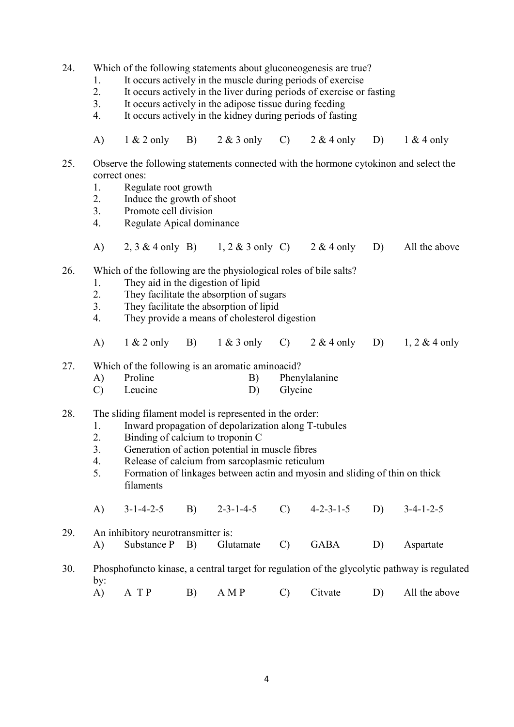24. Which of the following statements about gluconeogenesis are true?

- 1. It occurs actively in the muscle during periods of exercise<br>
2 It occurs actively in the liver during periods of exercise or
- It occurs actively in the liver during periods of exercise or fasting
- 3. It occurs actively in the adipose tissue during feeding
- 4. It occurs actively in the kidney during periods of fasting
- A) 1 & 2 only B) 2 & 3 only C) 2 & 4 only D) 1 & 4 only
- 25. Observe the following statements connected with the hormone cytokinon and select the correct ones:
	- 1. Regulate root growth
	- 2. Induce the growth of shoot
	- 3. Promote cell division
	- 4. Regulate Apical dominance
	- A)  $2, 3 \& 4$  only B)  $1, 2 \& 3$  only C)  $2 \& 4$  only D) All the above

#### 26. Which of the following are the physiological roles of bile salts?

- 1. They aid in the digestion of lipid
- 2. They facilitate the absorption of sugars
- 3. They facilitate the absorption of lipid
- 4. They provide a means of cholesterol digestion
- A) 1 & 2 only B) 1 & 3 only C) 2 & 4 only D) 1, 2 & 4 only

27. Which of the following is an aromatic aminoacid?

| Proline |  | Phenylalanine |
|---------|--|---------------|
|---------|--|---------------|

C) Leucine D) Glycine

28. The sliding filament model is represented in the order:

- 1. Inward propagation of depolarization along T-tubules
- 2. Binding of calcium to troponin C
- 3. Generation of action potential in muscle fibres
- 4. Release of calcium from sarcoplasmic reticulum
- 5. Formation of linkages between actin and myosin and sliding of thin on thick filaments
- A) 3-1-4-2-5 B) 2-3-1-4-5 C) 4-2-3-1-5 D) 3-4-1-2-5

29. An inhibitory neurotransmitter is: A) Substance P B) Glutamate C) GABA D) Aspartate

- 30. Phosphofuncto kinase, a central target for regulation of the glycolytic pathway is regulated by:
	- A) A T P B) A M P C) Citvate D) All the above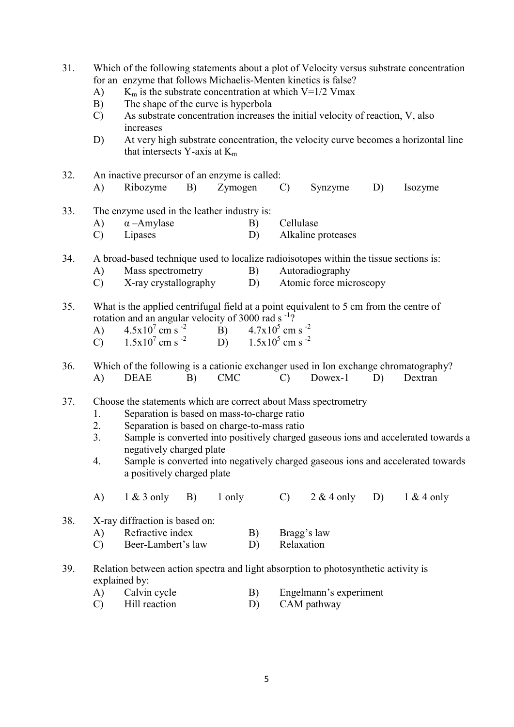- 31. Which of the following statements about a plot of Velocity versus substrate concentration for an enzyme that follows Michaelis-Menten kinetics is false?
	- A) K<sub>m</sub> is the substrate concentration at which V=1/2 Vmax
	- B) The shape of the curve is hyperbola
	- C) As substrate concentration increases the initial velocity of reaction, V, also increases
	- D) At very high substrate concentration, the velocity curve becomes a horizontal line that intersects Y-axis at  $K_m$
- 32. An inactive precursor of an enzyme is called: A) Ribozyme B) Zymogen C) Synzyme D) Isozyme
- 33. The enzyme used in the leather industry is:
	- A)  $\alpha$  –Amylase B) Cellulase C) Lipases D) Alkaline proteases
- 34. A broad-based technique used to localize radioisotopes within the tissue sections is:
	- A) Mass spectrometry B) Autoradiography
	- C) X-ray crystallography D) Atomic force microscopy
- 35. What is the applied centrifugal field at a point equivalent to 5 cm from the centre of rotation and an angular velocity of 3000 rad  $s^{-1}$ ?
	- A)  $4.5x10^7$  cm s<sup>-2</sup> cm s  $^{-2}$  B)  $4.7x10^5$  cm s  $^{-2}$ C)  $1.5x10^7$  cm s<sup>-2</sup> cm s  $^{-2}$  D)  $1.5x10^5$  cm s  $^{-2}$
- 36. Which of the following is a cationic exchanger used in Ion exchange chromatography? A) DEAE B) CMC C) Dowex-1 D) Dextran
- 37. Choose the statements which are correct about Mass spectrometry
	- 1. Separation is based on mass-to-charge ratio
	- 2. Separation is based on charge-to-mass ratio
	- 3. Sample is converted into positively charged gaseous ions and accelerated towards a negatively charged plate
	- 4. Sample is converted into negatively charged gaseous ions and accelerated towards a positively charged plate
	- A)  $1 \& 3$  only B)  $1 \text{ only}$  C)  $2 \& 4$  only D)  $1 \& 4$  only
- 38. X-ray diffraction is based on:
	- A) Refractive index B) Bragg's law
	- C) Beer-Lambert's law D) Relaxation
- 39. Relation between action spectra and light absorption to photosynthetic activity is explained by:
	- A) Calvin cycle B) Engelmann's experiment
	- C) Hill reaction D) CAM pathway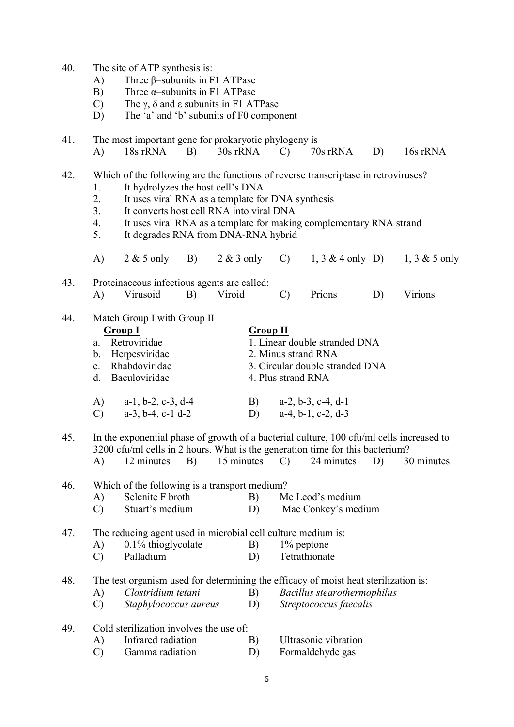- 40. The site of ATP synthesis is:
	- A) Three β–subunits in F1 ATPase
	- B) Three  $\alpha$ –subunits in F1 ATPase
	- C) The  $\gamma$ ,  $\delta$  and  $\epsilon$  subunits in F1 ATPase
	- D) The 'a' and 'b' subunits of F0 component

41. The most important gene for prokaryotic phylogeny is A) 18s rRNA B) 30s rRNA C) 70s rRNA D) 16s rRNA

42. Which of the following are the functions of reverse transcriptase in retroviruses?

- 1. It hydrolyzes the host cell's DNA
- 2. It uses viral RNA as a template for DNA synthesis
- 3. It converts host cell RNA into viral DNA
- 4. It uses viral RNA as a template for making complementary RNA strand
- 5. It degrades RNA from DNA-RNA hybrid

|  |  |  |  |  | A) $2 \& 5 \text{ only}$ B) $2 \& 3 \text{ only}$ C) $1, 3 \& 4 \text{ only}$ D) $1, 3 \& 5 \text{ only}$ |  |
|--|--|--|--|--|-----------------------------------------------------------------------------------------------------------|--|
|--|--|--|--|--|-----------------------------------------------------------------------------------------------------------|--|

43. Proteinaceous infectious agents are called: A) Virusoid B) Viroid C) Prions D) Virions

44. Match Group I with Group II

| <b>Group I</b>              | <b>Group II</b>                 |
|-----------------------------|---------------------------------|
| Retroviridae<br>$a_{\cdot}$ | 1. Linear double stranded DNA   |
| b. Herpesviridae            | 2. Minus strand RNA             |
| c. Rhabdoviridae            | 3. Circular double stranded DNA |
| d. Baculoviridae            | 4. Plus strand RNA              |
|                             |                                 |
|                             |                                 |

| A) $a-1, b-2, c-3, d-4$ | B) $a-2, b-3, c-4, d-1$ |
|-------------------------|-------------------------|
| C) $a-3, b-4, c-1 d-2$  | D) $a-4, b-1, c-2, d-3$ |

45. In the exponential phase of growth of a bacterial culture, 100 cfu/ml cells increased to 3200 cfu/ml cells in 2 hours. What is the generation time for this bacterium?

|  | 12 minutes |  | 15 minutes |  | 24 minutes D) |  | 30 minutes |
|--|------------|--|------------|--|---------------|--|------------|
|--|------------|--|------------|--|---------------|--|------------|

- 46. Which of the following is a transport medium?
	- A) Selenite F broth B) Mc Leod's medium
	- C) Stuart's medium D) Mac Conkey's medium

47. The reducing agent used in microbial cell culture medium is:

- A) 0.1% thioglycolate B) 1% peptone
- C) Palladium D) Tetrathionate

48. The test organism used for determining the efficacy of moist heat sterilization is:

- A) Clostridium tetani B) Bacillus stearothermophilus
- C) Staphylococcus aureus D) Streptococcus faecalis
- 49. Cold sterilization involves the use of:
	- A) Infrared radiation B) Ultrasonic vibration
	- C) Gamma radiation D) Formaldehyde gas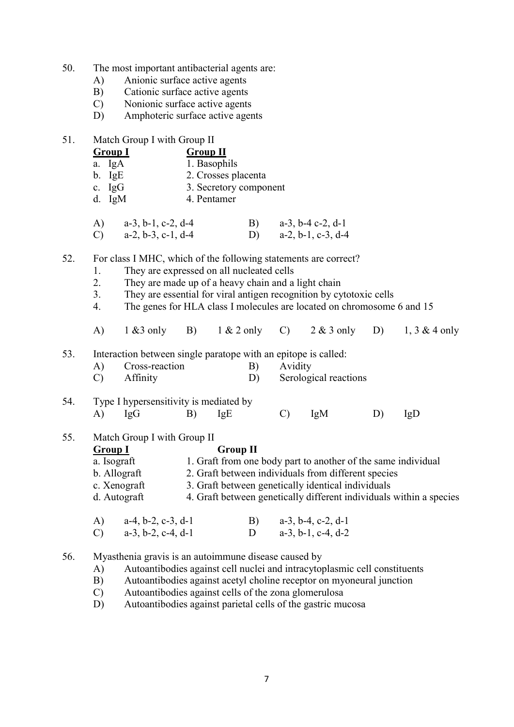- 50. The most important antibacterial agents are:
	- A) Anionic surface active agents
	- B) Cationic surface active agents
	- C) Nonionic surface active agents
	- D) Amphoteric surface active agents
- 51. Match Group I with Group II

| <b>Group I</b>                      | <b>Group II</b>     |                        |                          |
|-------------------------------------|---------------------|------------------------|--------------------------|
| a. IgA                              | 1. Basophils        |                        |                          |
| $b. \ \text{IgE}$                   | 2. Crosses placenta |                        |                          |
| c. $IgG$                            |                     | 3. Secretory component |                          |
| d. $IgM$                            | 4. Pentamer         |                        |                          |
|                                     |                     |                        |                          |
| $a-3$ , $b-1$ , $c-2$ , $d-4$<br>A) |                     |                        | $a-3$ , $b-4$ c-2, $d-1$ |

| $A)$ a-3, 0-1, 0-2, 0-4 | $a-3, 0-4$ C-2, Q-1  |
|-------------------------|----------------------|
| a-2, b-3, c-1, d-4      | $a-2, b-1, c-3, d-4$ |

52. For class I MHC, which of the following statements are correct?

- 1. They are expressed on all nucleated cells
- 2. They are made up of a heavy chain and a light chain
- 3. They are essential for viral antigen recognition by cytotoxic cells
- 4. The genes for HLA class I molecules are located on chromosome 6 and 15
- A) 1 &3 only B) 1 & 2 only C) 2 & 3 only D) 1, 3 & 4 only
- 53. Interaction between single paratope with an epitope is called:

| Cross-reaction | B) Avidity               |  |
|----------------|--------------------------|--|
| C) Affinity    | D) Serological reactions |  |
|                |                          |  |

# 54. Type I hypersensitivity is mediated by A) IgG B) IgE C) IgM D) IgD

55. Match Group I with Group II

# Group I Group II a. Isograft 1. Graft from one body part to another of the same individual b. Allograft 2. Graft between individuals from different species c. Xenograft 3. Graft between genetically identical individuals d. Autograft 4. Graft between genetically different individuals within a species

| A) $a-4, b-2, c-3, d-1$ | B) $a-3, b-4, c-2, d-1$ |
|-------------------------|-------------------------|
| C) $a-3, b-2, c-4, d-1$ | D $a-3, b-1, c-4, d-2$  |

- 56. Myasthenia gravis is an autoimmune disease caused by
	- A) Autoantibodies against cell nuclei and intracytoplasmic cell constituents
	- B) Autoantibodies against acetyl choline receptor on myoneural junction
	- C) Autoantibodies against cells of the zona glomerulosa
	- D) Autoantibodies against parietal cells of the gastric mucosa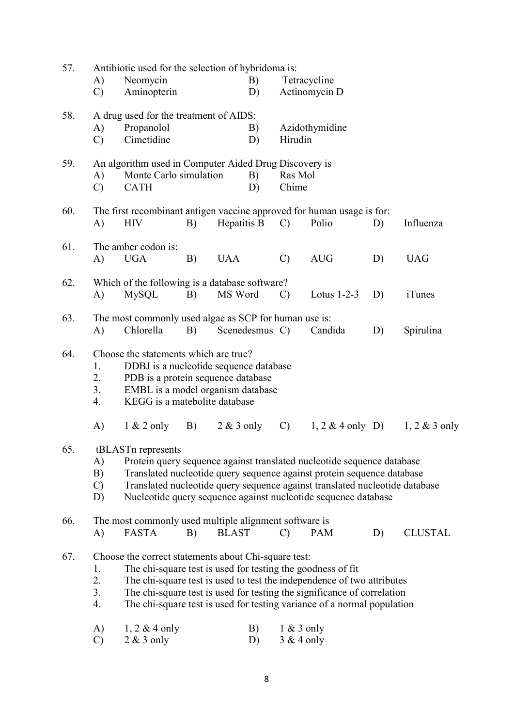| 57.<br>Antibiotic used for the selection of hybridoma is:    |                                                                                                                                                                      |                                                                         |    |                    |                |               |                                                                         |    |                  |  |  |  |
|--------------------------------------------------------------|----------------------------------------------------------------------------------------------------------------------------------------------------------------------|-------------------------------------------------------------------------|----|--------------------|----------------|---------------|-------------------------------------------------------------------------|----|------------------|--|--|--|
|                                                              | A)                                                                                                                                                                   | Neomycin                                                                |    | B)<br>Tetracycline |                |               |                                                                         |    |                  |  |  |  |
|                                                              | $\mathcal{C}$                                                                                                                                                        | Aminopterin                                                             |    |                    | D)             |               | Actinomycin D                                                           |    |                  |  |  |  |
| 58.                                                          |                                                                                                                                                                      | A drug used for the treatment of AIDS:                                  |    |                    |                |               |                                                                         |    |                  |  |  |  |
|                                                              | A)                                                                                                                                                                   | Propanolol                                                              |    |                    | B)             |               | Azidothymidine                                                          |    |                  |  |  |  |
|                                                              | $\mathcal{C}$                                                                                                                                                        | Cimetidine                                                              |    |                    | D)             | Hirudin       |                                                                         |    |                  |  |  |  |
| An algorithm used in Computer Aided Drug Discovery is<br>59. |                                                                                                                                                                      |                                                                         |    |                    |                |               |                                                                         |    |                  |  |  |  |
|                                                              | A)                                                                                                                                                                   | Monte Carlo simulation                                                  |    |                    |                | B)<br>Ras Mol |                                                                         |    |                  |  |  |  |
|                                                              | $\mathcal{C}$                                                                                                                                                        | <b>CATH</b>                                                             |    |                    | D)             | Chime         |                                                                         |    |                  |  |  |  |
| 60.                                                          |                                                                                                                                                                      | The first recombinant antigen vaccine approved for human usage is for:  |    |                    |                |               |                                                                         |    |                  |  |  |  |
|                                                              | A)                                                                                                                                                                   | <b>HIV</b>                                                              | B) | Hepatitis B        |                | $\mathcal{C}$ | Polio                                                                   | D) | Influenza        |  |  |  |
| 61.                                                          |                                                                                                                                                                      | The amber codon is:                                                     |    |                    |                |               |                                                                         |    |                  |  |  |  |
|                                                              | A)                                                                                                                                                                   | <b>UGA</b>                                                              | B) | <b>UAA</b>         |                | $\mathcal{C}$ | <b>AUG</b>                                                              | D) | <b>UAG</b>       |  |  |  |
| 62.                                                          |                                                                                                                                                                      | Which of the following is a database software?                          |    |                    |                |               |                                                                         |    |                  |  |  |  |
|                                                              | A)                                                                                                                                                                   | <b>MySQL</b>                                                            | B) | MS Word            |                | $\mathcal{C}$ | Lotus $1-2-3$                                                           | D) | <i>i</i> Tunes   |  |  |  |
| 63.                                                          |                                                                                                                                                                      | The most commonly used algae as SCP for human use is:                   |    |                    |                |               |                                                                         |    |                  |  |  |  |
|                                                              | A)                                                                                                                                                                   | Chlorella                                                               | B) |                    | Scenedesmus C) |               | Candida                                                                 | D) | Spirulina        |  |  |  |
|                                                              |                                                                                                                                                                      |                                                                         |    |                    |                |               |                                                                         |    |                  |  |  |  |
| 64.                                                          |                                                                                                                                                                      | Choose the statements which are true?                                   |    |                    |                |               |                                                                         |    |                  |  |  |  |
|                                                              | 1.                                                                                                                                                                   | DDBJ is a nucleotide sequence database                                  |    |                    |                |               |                                                                         |    |                  |  |  |  |
|                                                              | 2.<br>3.                                                                                                                                                             | PDB is a protein sequence database<br>EMBL is a model organism database |    |                    |                |               |                                                                         |    |                  |  |  |  |
|                                                              | 4.                                                                                                                                                                   | KEGG is a matebolite database                                           |    |                    |                |               |                                                                         |    |                  |  |  |  |
|                                                              | A)                                                                                                                                                                   | $1 & 2$ only                                                            | B) | $2 & 3$ only       |                | $\mathcal{C}$ | $1, 2 \& 4$ only D)                                                     |    | $1, 2 \& 3$ only |  |  |  |
|                                                              |                                                                                                                                                                      |                                                                         |    |                    |                |               |                                                                         |    |                  |  |  |  |
| 65.                                                          |                                                                                                                                                                      | tBLASTn represents                                                      |    |                    |                |               |                                                                         |    |                  |  |  |  |
|                                                              | A)                                                                                                                                                                   |                                                                         |    |                    |                |               | Protein query sequence against translated nucleotide sequence database  |    |                  |  |  |  |
|                                                              | B)                                                                                                                                                                   |                                                                         |    |                    |                |               | Translated nucleotide query sequence against protein sequence database  |    |                  |  |  |  |
|                                                              | Translated nucleotide query sequence against translated nucleotide database<br>$\mathcal{C}$<br>Nucleotide query sequence against nucleotide sequence database<br>D) |                                                                         |    |                    |                |               |                                                                         |    |                  |  |  |  |
|                                                              |                                                                                                                                                                      |                                                                         |    |                    |                |               |                                                                         |    |                  |  |  |  |
| 66.                                                          |                                                                                                                                                                      | The most commonly used multiple alignment software is<br><b>FASTA</b>   |    | <b>BLAST</b>       |                | $\mathcal{C}$ | <b>PAM</b>                                                              |    | <b>CLUSTAL</b>   |  |  |  |
|                                                              | A)                                                                                                                                                                   |                                                                         | B) |                    |                |               |                                                                         | D) |                  |  |  |  |
| 67.                                                          |                                                                                                                                                                      | Choose the correct statements about Chi-square test:                    |    |                    |                |               |                                                                         |    |                  |  |  |  |
|                                                              | 1.                                                                                                                                                                   | The chi-square test is used for testing the goodness of fit             |    |                    |                |               |                                                                         |    |                  |  |  |  |
|                                                              | 2.                                                                                                                                                                   |                                                                         |    |                    |                |               | The chi-square test is used to test the independence of two attributes  |    |                  |  |  |  |
|                                                              | 3.                                                                                                                                                                   |                                                                         |    |                    |                |               | The chi-square test is used for testing the significance of correlation |    |                  |  |  |  |
|                                                              | 4.                                                                                                                                                                   |                                                                         |    |                    |                |               | The chi-square test is used for testing variance of a normal population |    |                  |  |  |  |
|                                                              | A)                                                                                                                                                                   | $1, 2 \& 4$ only                                                        |    |                    | B)             | $1 & 3$ only  |                                                                         |    |                  |  |  |  |
|                                                              | $\mathcal{C}$                                                                                                                                                        | $2 & 3$ only                                                            |    |                    | D)             | $3 & 4$ only  |                                                                         |    |                  |  |  |  |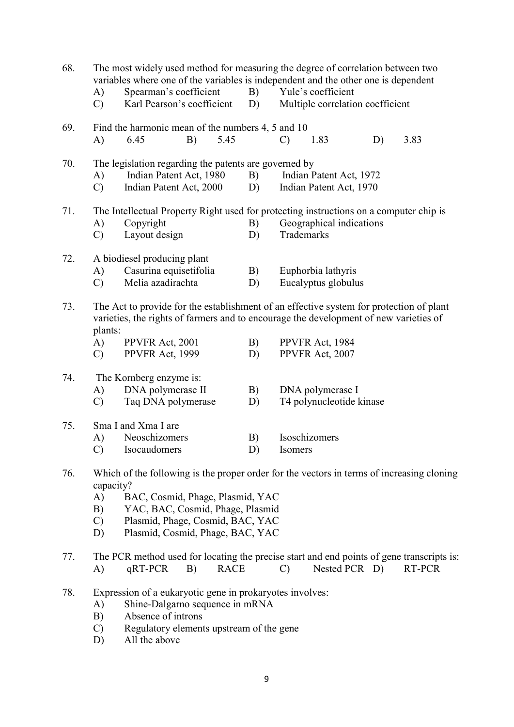| 68. | A)<br>$\mathcal{C}$             | Spearman's coefficient<br>Karl Pearson's coefficient                                                                                                                                                                                                   |    | B)<br>D)    | The most widely used method for measuring the degree of correlation between two<br>variables where one of the variables is independent and the other one is dependent<br>Yule's coefficient<br>Multiple correlation coefficient |                                                                                                                                  |                                              |    |        |  |  |
|-----|---------------------------------|--------------------------------------------------------------------------------------------------------------------------------------------------------------------------------------------------------------------------------------------------------|----|-------------|---------------------------------------------------------------------------------------------------------------------------------------------------------------------------------------------------------------------------------|----------------------------------------------------------------------------------------------------------------------------------|----------------------------------------------|----|--------|--|--|
|     |                                 |                                                                                                                                                                                                                                                        |    |             |                                                                                                                                                                                                                                 |                                                                                                                                  |                                              |    |        |  |  |
| 69. | A)                              | Find the harmonic mean of the numbers 4, 5 and 10<br>6.45                                                                                                                                                                                              | B) | 5.45        |                                                                                                                                                                                                                                 | $\mathcal{C}$                                                                                                                    | 1.83                                         | D) | 3.83   |  |  |
| 70. | A)<br>$\mathcal{C}$             | Indian Patent Act, 1980<br>Indian Patent Act, 2000                                                                                                                                                                                                     |    |             | The legislation regarding the patents are governed by<br>B)<br>Indian Patent Act, 1972<br>Indian Patent Act, 1970<br>D)                                                                                                         |                                                                                                                                  |                                              |    |        |  |  |
| 71. | A)<br>$\mathcal{C}$             | Copyright<br>Layout design                                                                                                                                                                                                                             |    |             | B)<br>D)                                                                                                                                                                                                                        | The Intellectual Property Right used for protecting instructions on a computer chip is<br>Geographical indications<br>Trademarks |                                              |    |        |  |  |
| 72. | A)<br>$\mathcal{C}$             | A biodiesel producing plant<br>Casurina equisetifolia<br>Melia azadirachta                                                                                                                                                                             |    |             | B)<br>D)                                                                                                                                                                                                                        |                                                                                                                                  | Euphorbia lathyris<br>Eucalyptus globulus    |    |        |  |  |
| 73. | plants:<br>A)                   | The Act to provide for the establishment of an effective system for protection of plant<br>varieties, the rights of farmers and to encourage the development of new varieties of<br>PPVFR Act, 1984<br>PPVFR Act, 2001<br>B)                           |    |             |                                                                                                                                                                                                                                 |                                                                                                                                  |                                              |    |        |  |  |
|     | $\mathcal{C}$                   | PPVFR Act, 1999                                                                                                                                                                                                                                        |    |             | D)                                                                                                                                                                                                                              |                                                                                                                                  | PPVFR Act, 2007                              |    |        |  |  |
| 74. | A)<br>$\mathcal{C}$             | The Kornberg enzyme is:<br>DNA polymerase II<br>Taq DNA polymerase                                                                                                                                                                                     |    |             | B)<br>D)                                                                                                                                                                                                                        |                                                                                                                                  | DNA polymerase I<br>T4 polynucleotide kinase |    |        |  |  |
| 75. | A)<br>$\mathcal{C}$             | Sma I and Xma I are<br>Neoschizomers<br>Isocaudomers                                                                                                                                                                                                   |    | B)<br>D)    | Isoschizomers<br>Isomers                                                                                                                                                                                                        |                                                                                                                                  |                                              |    |        |  |  |
| 76. | A)<br>B)<br>$\mathcal{C}$<br>D) | Which of the following is the proper order for the vectors in terms of increasing cloning<br>capacity?<br>BAC, Cosmid, Phage, Plasmid, YAC<br>YAC, BAC, Cosmid, Phage, Plasmid<br>Plasmid, Phage, Cosmid, BAC, YAC<br>Plasmid, Cosmid, Phage, BAC, YAC |    |             |                                                                                                                                                                                                                                 |                                                                                                                                  |                                              |    |        |  |  |
| 77. | A)                              | The PCR method used for locating the precise start and end points of gene transcripts is:<br>$qRT-PCR$                                                                                                                                                 | B) | <b>RACE</b> |                                                                                                                                                                                                                                 | $\mathcal{C}$                                                                                                                    | Nested PCR D)                                |    | RT-PCR |  |  |
| 78. | A)<br>B)<br>$\mathcal{C}$<br>D) | Expression of a eukaryotic gene in prokaryotes involves:<br>Shine-Dalgarno sequence in mRNA<br>Absence of introns<br>Regulatory elements upstream of the gene<br>All the above                                                                         |    |             |                                                                                                                                                                                                                                 |                                                                                                                                  |                                              |    |        |  |  |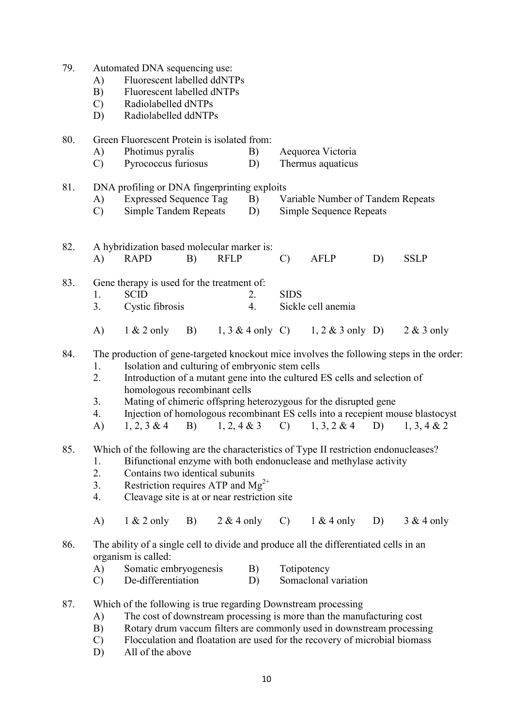| 79. | A)<br>B)<br>$\mathcal{C}$<br>D) | Automated DNA sequencing use:<br>Fluorescent labelled ddNTPs<br>Fluorescent labelled dNTPs<br>Radiolabelled dNTPs<br>Radiolabelled ddNTPs                                                                                                                                                                                                                                                                                                                                                                        |    |             |                                        |                                                                     |                                   |    |              |  |
|-----|---------------------------------|------------------------------------------------------------------------------------------------------------------------------------------------------------------------------------------------------------------------------------------------------------------------------------------------------------------------------------------------------------------------------------------------------------------------------------------------------------------------------------------------------------------|----|-------------|----------------------------------------|---------------------------------------------------------------------|-----------------------------------|----|--------------|--|
| 80. | A)<br>$\mathcal{C}$             | Green Fluorescent Protein is isolated from:<br>Photimus pyralis<br>Pyrococcus furiosus                                                                                                                                                                                                                                                                                                                                                                                                                           |    | B)<br>D)    | Aequorea Victoria<br>Thermus aquaticus |                                                                     |                                   |    |              |  |
| 81. | A)<br>$\mathcal{C}$             | DNA profiling or DNA fingerprinting exploits<br><b>Expressed Sequence Tag</b><br><b>Simple Tandem Repeats</b>                                                                                                                                                                                                                                                                                                                                                                                                    |    |             | B)<br>D)                               | Variable Number of Tandem Repeats<br><b>Simple Sequence Repeats</b> |                                   |    |              |  |
| 82. | A)                              | A hybridization based molecular marker is:<br><b>RAPD</b>                                                                                                                                                                                                                                                                                                                                                                                                                                                        | B) | <b>RFLP</b> |                                        | $\mathcal{C}$                                                       | AFLP                              | D) | <b>SSLP</b>  |  |
| 83. | 1.<br>3.                        | Gene therapy is used for the treatment of:<br><b>SCID</b><br>Cystic fibrosis                                                                                                                                                                                                                                                                                                                                                                                                                                     |    |             | 2.<br>4.                               | <b>SIDS</b>                                                         | Sickle cell anemia                |    |              |  |
|     | A)                              | $1 & 2$ only                                                                                                                                                                                                                                                                                                                                                                                                                                                                                                     | B) |             |                                        |                                                                     | 1, 3 & 4 only C) 1, 2 & 3 only D) |    | $2 & 3$ only |  |
| 84. | 1.<br>2.<br>3.<br>4.<br>A)      | The production of gene-targeted knockout mice involves the following steps in the order:<br>Isolation and culturing of embryonic stem cells<br>Introduction of a mutant gene into the cultured ES cells and selection of<br>homologous recombinant cells<br>Mating of chimeric offspring heterozygous for the disrupted gene<br>Injection of homologous recombinant ES cells into a recepient mouse blastocyst<br>$1, 2, 4 \& 3$<br>$1, 3, 2 \& 4$<br>D)<br>$1, 2, 3 \& 4$<br>B)<br>$\mathcal{C}$<br>1, 3, 4 & 2 |    |             |                                        |                                                                     |                                   |    |              |  |
| 85. | 1.<br>2.<br>3.<br>4.<br>A)      | Which of the following are the characteristics of Type II restriction endonucleases?<br>Bifunctional enzyme with both endonuclease and methylase activity<br>Contains two identical subunits<br>Restriction requires ATP and $Mg^{2+}$<br>Cleavage site is at or near restriction site<br>$1 & 2$ only<br>B)<br>$2 & 4$ only<br>$\mathcal{C}$<br>$1 & 4$ only<br>D)<br>$3 & 4$ only                                                                                                                              |    |             |                                        |                                                                     |                                   |    |              |  |
| 86. | A)                              | The ability of a single cell to divide and produce all the differentiated cells in an<br>organism is called:<br>Somatic embryogenesis                                                                                                                                                                                                                                                                                                                                                                            |    |             | B)                                     | Totipotency                                                         |                                   |    |              |  |
|     | $\mathbf{C}$                    | De-differentiation                                                                                                                                                                                                                                                                                                                                                                                                                                                                                               |    |             | D)                                     |                                                                     | Somaclonal variation              |    |              |  |
| 87. | A)<br>B)<br>$\mathcal{C}$       | Which of the following is true regarding Downstream processing<br>The cost of downstream processing is more than the manufacturing cost<br>Rotary drum vaccum filters are commonly used in downstream processing<br>Flocculation and floatation are used for the recovery of microbial biomass                                                                                                                                                                                                                   |    |             |                                        |                                                                     |                                   |    |              |  |

D) All of the above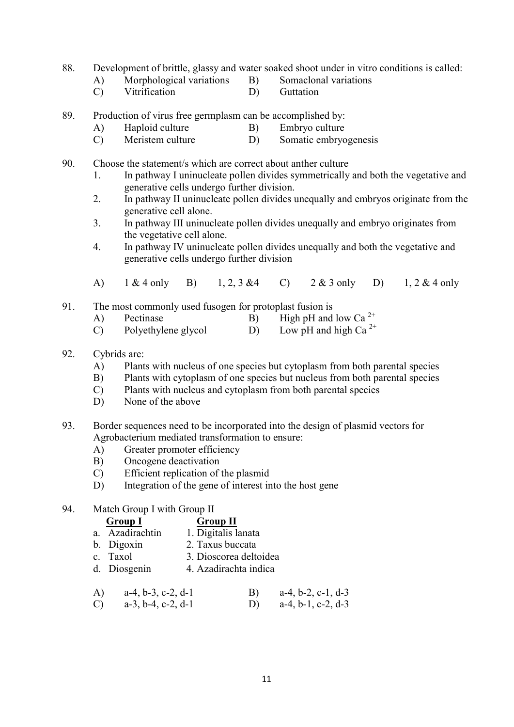- 88. Development of brittle, glassy and water soaked shoot under in vitro conditions is called:
	- A) Morphological variations B) Somaclonal variations
		-
	- C) Vitrification D) Guttation
- 89. Production of virus free germplasm can be accomplished by:
	- A) Haploid culture B) Embryo culture
	- C) Meristem culture D) Somatic embryogenesis
- 90. Choose the statement/s which are correct about anther culture
	- 1. In pathway I uninucleate pollen divides symmetrically and both the vegetative and generative cells undergo further division.
	- 2. In pathway II uninucleate pollen divides unequally and embryos originate from the generative cell alone.
	- 3. In pathway III uninucleate pollen divides unequally and embryo originates from the vegetative cell alone.
	- 4. In pathway IV uninucleate pollen divides unequally and both the vegetative and generative cells undergo further division
	- A) 1 & 4 only B) 1, 2, 3 &4 C) 2 & 3 only D) 1, 2 & 4 only
- 91. The most commonly used fusogen for protoplast fusion is
	- A) Pectinase B) High pH and low Ca<sup>2+</sup>
	- C) Polyethylene glycol D) Low pH and high Ca<sup>2+</sup>

### 92. Cybrids are:

- A) Plants with nucleus of one species but cytoplasm from both parental species
- B) Plants with cytoplasm of one species but nucleus from both parental species
- C) Plants with nucleus and cytoplasm from both parental species
- D) None of the above
- 93. Border sequences need to be incorporated into the design of plasmid vectors for Agrobacterium mediated transformation to ensure:
	- A) Greater promoter efficiency
	- B) Oncogene deactivation
	- C) Efficient replication of the plasmid
	- D) Integration of the gene of interest into the host gene

#### 94. Match Group I with Group II

| <b>Group I</b>  | <b>Group II</b>        |
|-----------------|------------------------|
| a. Azadirachtin | 1. Digitalis lanata    |
| b. Digoxin      | 2. Taxus buccata       |
| c. Taxol        | 3. Dioscorea deltoidea |
| d. Diosgenin    | 4. Azadirachta indica  |
|                 |                        |

 A) a-4, b-3, c-2, d-1 B) a-4, b-2, c-1, d-3 C) a-3, b-4, c-2, d-1 D) a-4, b-1, c-2, d-3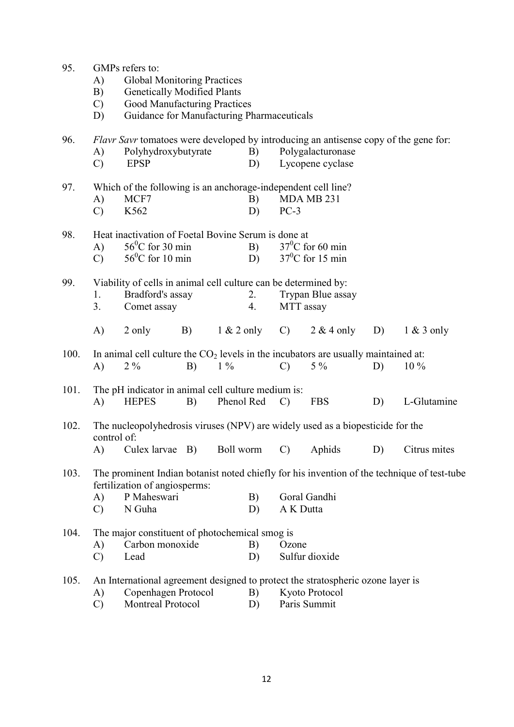| 95.  | GMPs refers to:                                                                               |                                                     |    |            |                                                               |                                                                 |                                                                                      |    |                 |  |  |  |
|------|-----------------------------------------------------------------------------------------------|-----------------------------------------------------|----|------------|---------------------------------------------------------------|-----------------------------------------------------------------|--------------------------------------------------------------------------------------|----|-----------------|--|--|--|
|      | A)                                                                                            | <b>Global Monitoring Practices</b>                  |    |            |                                                               |                                                                 |                                                                                      |    |                 |  |  |  |
|      | B)                                                                                            | <b>Genetically Modified Plants</b>                  |    |            |                                                               |                                                                 |                                                                                      |    |                 |  |  |  |
|      | $\mathbf{C}$                                                                                  | Good Manufacturing Practices                        |    |            |                                                               |                                                                 |                                                                                      |    |                 |  |  |  |
|      | D)                                                                                            | Guidance for Manufacturing Pharmaceuticals          |    |            |                                                               |                                                                 |                                                                                      |    |                 |  |  |  |
|      |                                                                                               |                                                     |    |            |                                                               |                                                                 |                                                                                      |    |                 |  |  |  |
| 96.  |                                                                                               |                                                     |    |            |                                                               |                                                                 | Flavr Savr tomatoes were developed by introducing an antisense copy of the gene for: |    |                 |  |  |  |
|      | A)                                                                                            | Polyhydroxybutyrate                                 |    |            | B)                                                            | Polygalacturonase                                               |                                                                                      |    |                 |  |  |  |
|      | $\mathcal{C}$                                                                                 | <b>EPSP</b>                                         |    |            | D)                                                            |                                                                 | Lycopene cyclase                                                                     |    |                 |  |  |  |
| 97.  |                                                                                               |                                                     |    |            | Which of the following is an anchorage-independent cell line? |                                                                 |                                                                                      |    |                 |  |  |  |
|      | A)                                                                                            | MCF7                                                |    |            | B)                                                            |                                                                 | MDA MB 231                                                                           |    |                 |  |  |  |
|      | $\mathcal{C}$                                                                                 | K562                                                |    |            | D)                                                            | $PC-3$                                                          |                                                                                      |    |                 |  |  |  |
| 98.  |                                                                                               | Heat inactivation of Foetal Bovine Serum is done at |    |            |                                                               |                                                                 |                                                                                      |    |                 |  |  |  |
|      | A)                                                                                            | $56^{\circ}$ C for 30 min                           |    |            | B)                                                            |                                                                 | $37^0$ C for 60 min                                                                  |    |                 |  |  |  |
|      | $\mathcal{C}$                                                                                 | $56^{\circ}$ C for 10 min                           |    |            | D)                                                            |                                                                 | $37^0$ C for 15 min                                                                  |    |                 |  |  |  |
|      |                                                                                               |                                                     |    |            |                                                               |                                                                 |                                                                                      |    |                 |  |  |  |
| 99.  |                                                                                               |                                                     |    |            |                                                               | Viability of cells in animal cell culture can be determined by: |                                                                                      |    |                 |  |  |  |
|      | 1.                                                                                            | Bradford's assay                                    |    |            | 2.                                                            | Trypan Blue assay                                               |                                                                                      |    |                 |  |  |  |
|      | 3.                                                                                            | Comet assay                                         |    |            | 4.                                                            | MTT assay                                                       |                                                                                      |    |                 |  |  |  |
|      | A)                                                                                            | 2 only                                              | B) |            | $1 \& 2$ only                                                 | $\mathbf{C}$ )                                                  | $2 & 4$ only                                                                         | D) | $1 \& 3$ only   |  |  |  |
| 100. |                                                                                               |                                                     |    |            |                                                               |                                                                 | In animal cell culture the $CO2$ levels in the incubators are usually maintained at: |    |                 |  |  |  |
|      | $\bf{A}$                                                                                      | $2\%$                                               | B) | $1\%$      |                                                               | $\mathcal{C}$                                                   | $5\%$                                                                                | D) | $10\%$          |  |  |  |
|      |                                                                                               |                                                     |    |            |                                                               |                                                                 |                                                                                      |    |                 |  |  |  |
| 101. | The pH indicator in animal cell culture medium is:                                            |                                                     |    |            |                                                               |                                                                 |                                                                                      |    |                 |  |  |  |
|      | A)                                                                                            | <b>HEPES</b>                                        | B) | Phenol Red |                                                               | $\mathcal{C}$                                                   | <b>FBS</b>                                                                           | D) | L-Glutamine     |  |  |  |
| 102. |                                                                                               |                                                     |    |            |                                                               |                                                                 |                                                                                      |    |                 |  |  |  |
|      | The nucleopolyhedrosis viruses (NPV) are widely used as a biopesticide for the<br>control of: |                                                     |    |            |                                                               |                                                                 |                                                                                      |    |                 |  |  |  |
|      |                                                                                               |                                                     |    |            |                                                               |                                                                 | A) Culex larvae B) Boll worm C) Aphids                                               |    | D) Citrus mites |  |  |  |
|      |                                                                                               |                                                     |    |            |                                                               |                                                                 |                                                                                      |    |                 |  |  |  |
| 103. | The prominent Indian botanist noted chiefly for his invention of the technique of test-tube   |                                                     |    |            |                                                               |                                                                 |                                                                                      |    |                 |  |  |  |
|      |                                                                                               | fertilization of angiosperms:                       |    |            |                                                               |                                                                 |                                                                                      |    |                 |  |  |  |
|      | A)                                                                                            | P Maheswari                                         |    |            |                                                               | Goral Gandhi<br>B)                                              |                                                                                      |    |                 |  |  |  |
|      | $\mathbf{C}$                                                                                  | N Guha                                              |    |            | D)                                                            | A K Dutta                                                       |                                                                                      |    |                 |  |  |  |
| 104. |                                                                                               | The major constituent of photochemical smog is      |    |            |                                                               |                                                                 |                                                                                      |    |                 |  |  |  |
|      | A)                                                                                            | Carbon monoxide                                     |    |            | B)                                                            | Ozone                                                           |                                                                                      |    |                 |  |  |  |
|      | $\mathcal{C}$                                                                                 | Lead                                                |    |            |                                                               |                                                                 | Sulfur dioxide                                                                       |    |                 |  |  |  |
|      |                                                                                               |                                                     |    |            |                                                               |                                                                 |                                                                                      |    |                 |  |  |  |
| 105. |                                                                                               |                                                     |    |            |                                                               |                                                                 | An International agreement designed to protect the stratospheric ozone layer is      |    |                 |  |  |  |
|      | A)                                                                                            | Copenhagen Protocol                                 |    |            | B)                                                            |                                                                 | Kyoto Protocol                                                                       |    |                 |  |  |  |
|      | $\mathcal{C}$                                                                                 | <b>Montreal Protocol</b>                            |    |            | D)                                                            |                                                                 | Paris Summit                                                                         |    |                 |  |  |  |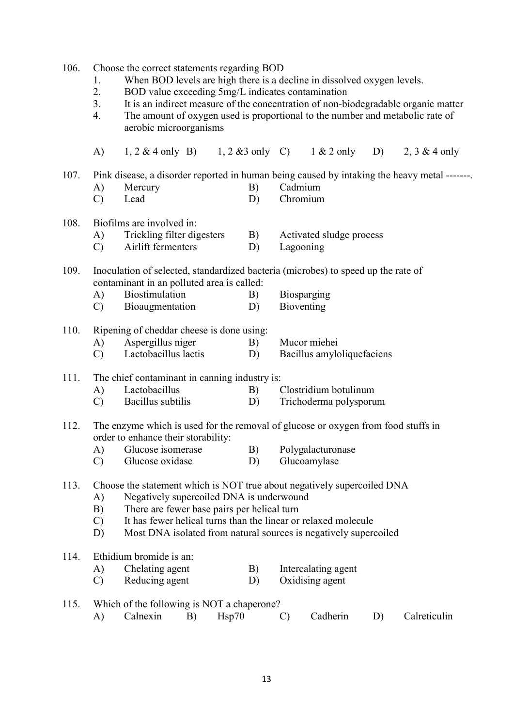106. Choose the correct statements regarding BOD

- 1. When BOD levels are high there is a decline in dissolved oxygen levels.<br>2 BOD value exceeding 5mg/L indicates contamination
- 2. BOD value exceeding 5mg/L indicates contamination
- 3. It is an indirect measure of the concentration of non-biodegradable organic matter
- 4. The amount of oxygen used is proportional to the number and metabolic rate of aerobic microorganisms

 A) 1, 2 & 4 only B) 1, 2 &3 only C) 1 & 2 only D) 2, 3 & 4 only 107. Pink disease, a disorder reported in human being caused by intaking the heavy metal -------. A) Mercury B) Cadmium C) Lead D) Chromium 108. Biofilms are involved in: A) Trickling filter digesters B) Activated sludge process C) Airlift fermenters D) Lagooning 109. Inoculation of selected, standardized bacteria (microbes) to speed up the rate of contaminant in an polluted area is called: A) Biostimulation B) Biosparging C) Bioaugmentation D) Bioventing 110. Ripening of cheddar cheese is done using: A) Aspergillus niger B) Mucor miehei C) Lactobacillus lactis D) Bacillus amyloliquefaciens 111. The chief contaminant in canning industry is: A) Lactobacillus B) Clostridium botulinum C) Bacillus subtilis D) Trichoderma polysporum 112. The enzyme which is used for the removal of glucose or oxygen from food stuffs in order to enhance their storability: A) Glucose isomerase B) Polygalacturonase C) Glucose oxidase D) Glucoamylase 113. Choose the statement which is NOT true about negatively supercoiled DNA A) Negatively supercoiled DNA is underwound B) There are fewer base pairs per helical turn C) It has fewer helical turns than the linear or relaxed molecule D) Most DNA isolated from natural sources is negatively supercoiled 114. Ethidium bromide is an: A) Chelating agent B) Intercalating agent C) Reducing agent D) Oxidising agent 115. Which of the following is NOT a chaperone?

| . | $\frac{1}{2}$ which of the following is two t a enaperolic. |  |          |                 |
|---|-------------------------------------------------------------|--|----------|-----------------|
|   | Calnexin B) Hsp70                                           |  | Cadherin | D) Calreticulin |